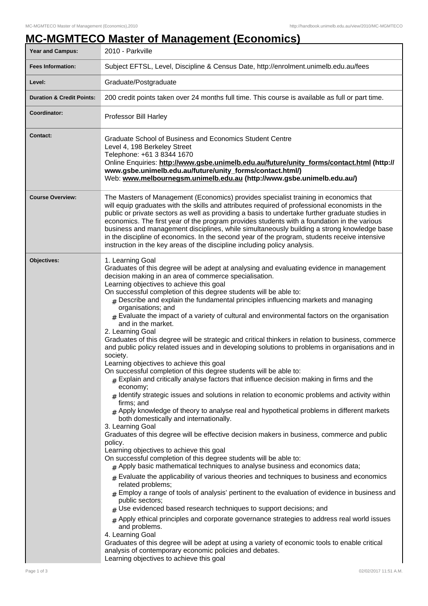## **MC-MGMTECO Master of Management (Economics)**

| <b>Year and Campus:</b>              | 2010 - Parkville                                                                                                                                                                                                                                                                                                                                                                                                                                                                                                                                                                                                                                                                                                                                                                                                                                                                                                                                                                                                                                                                                                                                                                                                                                                                                                                                                                                                                                                                                                                                                                                                                                                                                                                                                                                                                                                                                                                                                                                                                                                                                                                                                                                                                            |  |
|--------------------------------------|---------------------------------------------------------------------------------------------------------------------------------------------------------------------------------------------------------------------------------------------------------------------------------------------------------------------------------------------------------------------------------------------------------------------------------------------------------------------------------------------------------------------------------------------------------------------------------------------------------------------------------------------------------------------------------------------------------------------------------------------------------------------------------------------------------------------------------------------------------------------------------------------------------------------------------------------------------------------------------------------------------------------------------------------------------------------------------------------------------------------------------------------------------------------------------------------------------------------------------------------------------------------------------------------------------------------------------------------------------------------------------------------------------------------------------------------------------------------------------------------------------------------------------------------------------------------------------------------------------------------------------------------------------------------------------------------------------------------------------------------------------------------------------------------------------------------------------------------------------------------------------------------------------------------------------------------------------------------------------------------------------------------------------------------------------------------------------------------------------------------------------------------------------------------------------------------------------------------------------------------|--|
| <b>Fees Information:</b>             | Subject EFTSL, Level, Discipline & Census Date, http://enrolment.unimelb.edu.au/fees                                                                                                                                                                                                                                                                                                                                                                                                                                                                                                                                                                                                                                                                                                                                                                                                                                                                                                                                                                                                                                                                                                                                                                                                                                                                                                                                                                                                                                                                                                                                                                                                                                                                                                                                                                                                                                                                                                                                                                                                                                                                                                                                                        |  |
| Level:                               | Graduate/Postgraduate                                                                                                                                                                                                                                                                                                                                                                                                                                                                                                                                                                                                                                                                                                                                                                                                                                                                                                                                                                                                                                                                                                                                                                                                                                                                                                                                                                                                                                                                                                                                                                                                                                                                                                                                                                                                                                                                                                                                                                                                                                                                                                                                                                                                                       |  |
| <b>Duration &amp; Credit Points:</b> | 200 credit points taken over 24 months full time. This course is available as full or part time.                                                                                                                                                                                                                                                                                                                                                                                                                                                                                                                                                                                                                                                                                                                                                                                                                                                                                                                                                                                                                                                                                                                                                                                                                                                                                                                                                                                                                                                                                                                                                                                                                                                                                                                                                                                                                                                                                                                                                                                                                                                                                                                                            |  |
| Coordinator:                         | Professor Bill Harley                                                                                                                                                                                                                                                                                                                                                                                                                                                                                                                                                                                                                                                                                                                                                                                                                                                                                                                                                                                                                                                                                                                                                                                                                                                                                                                                                                                                                                                                                                                                                                                                                                                                                                                                                                                                                                                                                                                                                                                                                                                                                                                                                                                                                       |  |
| <b>Contact:</b>                      | Graduate School of Business and Economics Student Centre<br>Level 4, 198 Berkeley Street<br>Telephone: +61 3 8344 1670<br>Online Enquiries: http://www.gsbe.unimelb.edu.au/future/unity_forms/contact.html (http://<br>www.gsbe.unimelb.edu.au/future/unity_forms/contact.html/)<br>Web: www.melbournegsm.unimelb.edu.au (http://www.gsbe.unimelb.edu.au/)                                                                                                                                                                                                                                                                                                                                                                                                                                                                                                                                                                                                                                                                                                                                                                                                                                                                                                                                                                                                                                                                                                                                                                                                                                                                                                                                                                                                                                                                                                                                                                                                                                                                                                                                                                                                                                                                                  |  |
| <b>Course Overview:</b>              | The Masters of Management (Economics) provides specialist training in economics that<br>will equip graduates with the skills and attributes required of professional economists in the<br>public or private sectors as well as providing a basis to undertake further graduate studies in<br>economics. The first year of the program provides students with a foundation in the various<br>business and management disciplines, while simultaneously building a strong knowledge base<br>in the discipline of economics. In the second year of the program, students receive intensive<br>instruction in the key areas of the discipline including policy analysis.                                                                                                                                                                                                                                                                                                                                                                                                                                                                                                                                                                                                                                                                                                                                                                                                                                                                                                                                                                                                                                                                                                                                                                                                                                                                                                                                                                                                                                                                                                                                                                        |  |
| Objectives:                          | 1. Learning Goal<br>Graduates of this degree will be adept at analysing and evaluating evidence in management<br>decision making in an area of commerce specialisation.<br>Learning objectives to achieve this goal<br>On successful completion of this degree students will be able to:<br>$#$ Describe and explain the fundamental principles influencing markets and managing<br>organisations; and<br>$_{\#}$ Evaluate the impact of a variety of cultural and environmental factors on the organisation<br>and in the market.<br>2. Learning Goal<br>Graduates of this degree will be strategic and critical thinkers in relation to business, commerce<br>and public policy related issues and in developing solutions to problems in organisations and in<br>society.<br>Learning objectives to achieve this goal<br>On successful completion of this degree students will be able to:<br>$_{\#}$ Explain and critically analyse factors that influence decision making in firms and the<br>economy;<br>$#$ Identify strategic issues and solutions in relation to economic problems and activity within<br>firms; and<br>$#$ Apply knowledge of theory to analyse real and hypothetical problems in different markets<br>both domestically and internationally.<br>3. Learning Goal<br>Graduates of this degree will be effective decision makers in business, commerce and public<br>policy.<br>Learning objectives to achieve this goal<br>On successful completion of this degree students will be able to:<br>$#$ Apply basic mathematical techniques to analyse business and economics data;<br>$#$ Evaluate the applicability of various theories and techniques to business and economics<br>related problems;<br>$_{\text{\#}}$ Employ a range of tools of analysis' pertinent to the evaluation of evidence in business and<br>public sectors;<br>$#$ Use evidenced based research techniques to support decisions; and<br>$*$ Apply ethical principles and corporate governance strategies to address real world issues<br>and problems.<br>4. Learning Goal<br>Graduates of this degree will be adept at using a variety of economic tools to enable critical<br>analysis of contemporary economic policies and debates. |  |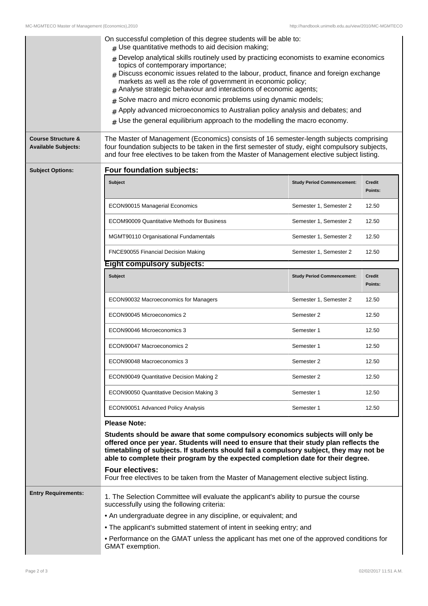| <b>Course Structure &amp;</b><br><b>Available Subjects:</b> | On successful completion of this degree students will be able to:<br>$#$ Use quantitative methods to aid decision making;<br>$#$ Develop analytical skills routinely used by practicing economists to examine economics<br>topics of contemporary importance;<br>$#$ Discuss economic issues related to the labour, product, finance and foreign exchange<br>markets as well as the role of government in economic policy;<br>Analyse strategic behaviour and interactions of economic agents;<br>Solve macro and micro economic problems using dynamic models;<br>#<br>Apply advanced microeconomics to Australian policy analysis and debates; and<br>Use the general equilibrium approach to the modelling the macro economy.<br>#<br>The Master of Management (Economics) consists of 16 semester-length subjects comprising<br>four foundation subjects to be taken in the first semester of study, eight compulsory subjects,<br>and four free electives to be taken from the Master of Management elective subject listing. |                                   |                          |  |  |
|-------------------------------------------------------------|------------------------------------------------------------------------------------------------------------------------------------------------------------------------------------------------------------------------------------------------------------------------------------------------------------------------------------------------------------------------------------------------------------------------------------------------------------------------------------------------------------------------------------------------------------------------------------------------------------------------------------------------------------------------------------------------------------------------------------------------------------------------------------------------------------------------------------------------------------------------------------------------------------------------------------------------------------------------------------------------------------------------------------|-----------------------------------|--------------------------|--|--|
| <b>Subject Options:</b>                                     | Four foundation subjects:                                                                                                                                                                                                                                                                                                                                                                                                                                                                                                                                                                                                                                                                                                                                                                                                                                                                                                                                                                                                          |                                   |                          |  |  |
|                                                             | <b>Subject</b>                                                                                                                                                                                                                                                                                                                                                                                                                                                                                                                                                                                                                                                                                                                                                                                                                                                                                                                                                                                                                     | <b>Study Period Commencement:</b> | <b>Credit</b><br>Points: |  |  |
|                                                             | ECON90015 Managerial Economics                                                                                                                                                                                                                                                                                                                                                                                                                                                                                                                                                                                                                                                                                                                                                                                                                                                                                                                                                                                                     | Semester 1, Semester 2            | 12.50                    |  |  |
|                                                             | <b>ECOM90009 Quantitative Methods for Business</b>                                                                                                                                                                                                                                                                                                                                                                                                                                                                                                                                                                                                                                                                                                                                                                                                                                                                                                                                                                                 | Semester 1, Semester 2            | 12.50                    |  |  |
|                                                             | MGMT90110 Organisational Fundamentals                                                                                                                                                                                                                                                                                                                                                                                                                                                                                                                                                                                                                                                                                                                                                                                                                                                                                                                                                                                              | Semester 1, Semester 2            | 12.50                    |  |  |
|                                                             | FNCE90055 Financial Decision Making                                                                                                                                                                                                                                                                                                                                                                                                                                                                                                                                                                                                                                                                                                                                                                                                                                                                                                                                                                                                | Semester 1, Semester 2            | 12.50                    |  |  |
|                                                             | <b>Eight compulsory subjects:</b>                                                                                                                                                                                                                                                                                                                                                                                                                                                                                                                                                                                                                                                                                                                                                                                                                                                                                                                                                                                                  |                                   |                          |  |  |
|                                                             | <b>Subject</b>                                                                                                                                                                                                                                                                                                                                                                                                                                                                                                                                                                                                                                                                                                                                                                                                                                                                                                                                                                                                                     | <b>Study Period Commencement:</b> | <b>Credit</b><br>Points: |  |  |
|                                                             | ECON90032 Macroeconomics for Managers                                                                                                                                                                                                                                                                                                                                                                                                                                                                                                                                                                                                                                                                                                                                                                                                                                                                                                                                                                                              | Semester 1, Semester 2            | 12.50                    |  |  |
|                                                             | ECON90045 Microeconomics 2                                                                                                                                                                                                                                                                                                                                                                                                                                                                                                                                                                                                                                                                                                                                                                                                                                                                                                                                                                                                         | Semester 2                        | 12.50                    |  |  |
|                                                             | ECON90046 Microeconomics 3                                                                                                                                                                                                                                                                                                                                                                                                                                                                                                                                                                                                                                                                                                                                                                                                                                                                                                                                                                                                         | Semester 1                        | 12.50                    |  |  |
|                                                             | ECON90047 Macroeconomics 2                                                                                                                                                                                                                                                                                                                                                                                                                                                                                                                                                                                                                                                                                                                                                                                                                                                                                                                                                                                                         | Semester 1                        | 12.50                    |  |  |
|                                                             | ECON90048 Macroeconomics 3                                                                                                                                                                                                                                                                                                                                                                                                                                                                                                                                                                                                                                                                                                                                                                                                                                                                                                                                                                                                         | Semester 2                        | 12.50                    |  |  |
|                                                             | ECON90049 Quantitative Decision Making 2                                                                                                                                                                                                                                                                                                                                                                                                                                                                                                                                                                                                                                                                                                                                                                                                                                                                                                                                                                                           | Semester 2                        | 12.50                    |  |  |
|                                                             | ECON90050 Quantitative Decision Making 3                                                                                                                                                                                                                                                                                                                                                                                                                                                                                                                                                                                                                                                                                                                                                                                                                                                                                                                                                                                           | Semester 1                        | 12.50                    |  |  |
|                                                             | ECON90051 Advanced Policy Analysis                                                                                                                                                                                                                                                                                                                                                                                                                                                                                                                                                                                                                                                                                                                                                                                                                                                                                                                                                                                                 | Semester 1                        | 12.50                    |  |  |
|                                                             | <b>Please Note:</b>                                                                                                                                                                                                                                                                                                                                                                                                                                                                                                                                                                                                                                                                                                                                                                                                                                                                                                                                                                                                                |                                   |                          |  |  |
|                                                             | Students should be aware that some compulsory economics subjects will only be<br>offered once per year. Students will need to ensure that their study plan reflects the<br>timetabling of subjects. If students should fail a compulsory subject, they may not be<br>able to complete their program by the expected completion date for their degree.<br><b>Four electives:</b><br>Four free electives to be taken from the Master of Management elective subject listing.                                                                                                                                                                                                                                                                                                                                                                                                                                                                                                                                                         |                                   |                          |  |  |
| <b>Entry Requirements:</b>                                  | 1. The Selection Committee will evaluate the applicant's ability to pursue the course<br>successfully using the following criteria:                                                                                                                                                                                                                                                                                                                                                                                                                                                                                                                                                                                                                                                                                                                                                                                                                                                                                                |                                   |                          |  |  |
|                                                             | • An undergraduate degree in any discipline, or equivalent; and                                                                                                                                                                                                                                                                                                                                                                                                                                                                                                                                                                                                                                                                                                                                                                                                                                                                                                                                                                    |                                   |                          |  |  |
|                                                             | • The applicant's submitted statement of intent in seeking entry; and                                                                                                                                                                                                                                                                                                                                                                                                                                                                                                                                                                                                                                                                                                                                                                                                                                                                                                                                                              |                                   |                          |  |  |
|                                                             | • Performance on the GMAT unless the applicant has met one of the approved conditions for<br>GMAT exemption.                                                                                                                                                                                                                                                                                                                                                                                                                                                                                                                                                                                                                                                                                                                                                                                                                                                                                                                       |                                   |                          |  |  |